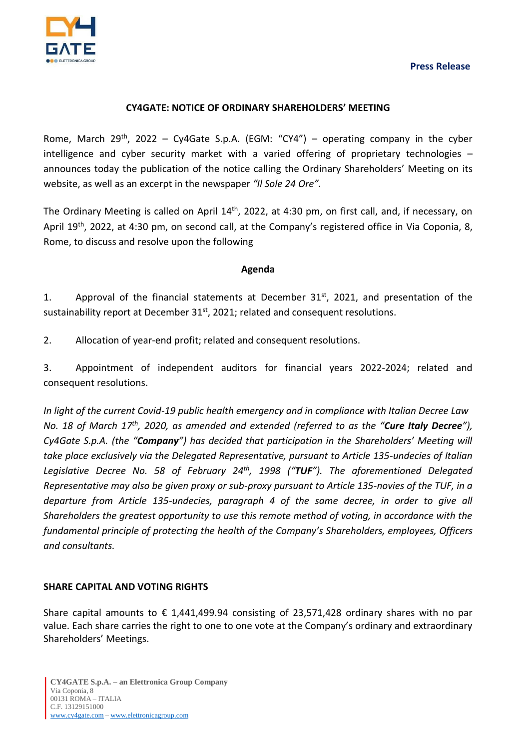



## **CY4GATE: NOTICE OF ORDINARY SHAREHOLDERS' MEETING**

Rome, March 29<sup>th</sup>, 2022 – Cy4Gate S.p.A. (EGM: "CY4") – operating company in the cyber intelligence and cyber security market with a varied offering of proprietary technologies – announces today the publication of the notice calling the Ordinary Shareholders' Meeting on its website, as well as an excerpt in the newspaper *"Il Sole 24 Ore".*

The Ordinary Meeting is called on April 14<sup>th</sup>, 2022, at 4:30 pm, on first call, and, if necessary, on April 19<sup>th</sup>, 2022, at 4:30 pm, on second call, at the Company's registered office in Via Coponia, 8, Rome, to discuss and resolve upon the following

## **Agenda**

1. Approval of the financial statements at December  $31<sup>st</sup>$ , 2021, and presentation of the sustainability report at December 31 $^{\text{st}}$ , 2021; related and consequent resolutions.

2. Allocation of year-end profit; related and consequent resolutions.

3. Appointment of independent auditors for financial years 2022-2024; related and consequent resolutions.

*In light of the current Covid-19 public health emergency and in compliance with Italian Decree Law No. 18 of March 17 th , 2020, as amended and extended (referred to as the "Cure Italy Decree"), Cy4Gate S.p.A. (the "Company") has decided that participation in the Shareholders' Meeting will take place exclusively via the Delegated Representative, pursuant to Article 135-undecies of Italian Legislative Decree No. 58 of February 24th , 1998 ("TUF"). The aforementioned Delegated Representative may also be given proxy or sub-proxy pursuant to Article 135-novies of the TUF, in a departure from Article 135-undecies, paragraph 4 of the same decree, in order to give all Shareholders the greatest opportunity to use this remote method of voting, in accordance with the fundamental principle of protecting the health of the Company's Shareholders, employees, Officers and consultants.*

# **SHARE CAPITAL AND VOTING RIGHTS**

Share capital amounts to  $\epsilon$  1,441,499.94 consisting of 23,571,428 ordinary shares with no par value. Each share carries the right to one to one vote at the Company's ordinary and extraordinary Shareholders' Meetings.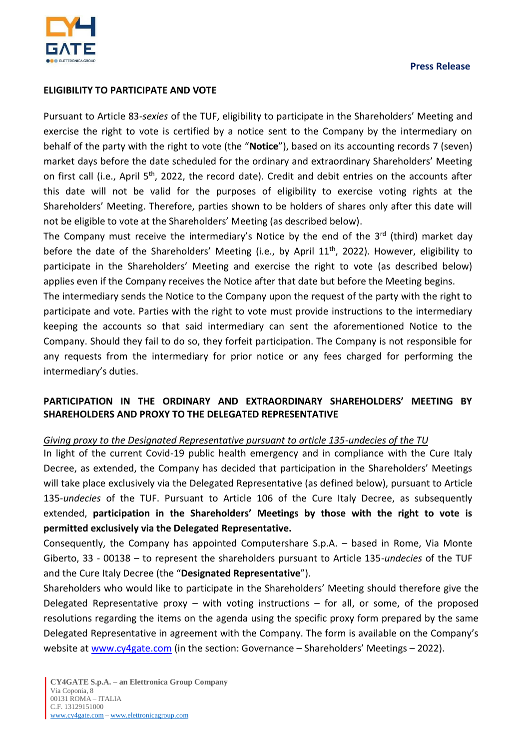

# **ELIGIBILITY TO PARTICIPATE AND VOTE**

Pursuant to Article 83*-sexies* of the TUF, eligibility to participate in the Shareholders' Meeting and exercise the right to vote is certified by a notice sent to the Company by the intermediary on behalf of the party with the right to vote (the "**Notice**"), based on its accounting records 7 (seven) market days before the date scheduled for the ordinary and extraordinary Shareholders' Meeting on first call (i.e., April 5<sup>th</sup>, 2022, the record date). Credit and debit entries on the accounts after this date will not be valid for the purposes of eligibility to exercise voting rights at the Shareholders' Meeting. Therefore, parties shown to be holders of shares only after this date will not be eligible to vote at the Shareholders' Meeting (as described below).

The Company must receive the intermediary's Notice by the end of the  $3<sup>rd</sup>$  (third) market day before the date of the Shareholders' Meeting (i.e., by April 11<sup>th</sup>, 2022). However, eligibility to participate in the Shareholders' Meeting and exercise the right to vote (as described below) applies even if the Company receives the Notice after that date but before the Meeting begins.

The intermediary sends the Notice to the Company upon the request of the party with the right to participate and vote. Parties with the right to vote must provide instructions to the intermediary keeping the accounts so that said intermediary can sent the aforementioned Notice to the Company. Should they fail to do so, they forfeit participation. The Company is not responsible for any requests from the intermediary for prior notice or any fees charged for performing the intermediary's duties.

# **PARTICIPATION IN THE ORDINARY AND EXTRAORDINARY SHAREHOLDERS' MEETING BY SHAREHOLDERS AND PROXY TO THE DELEGATED REPRESENTATIVE**

# *Giving proxy to the Designated Representative pursuant to article 135-undecies of the TU*

In light of the current Covid-19 public health emergency and in compliance with the Cure Italy Decree, as extended, the Company has decided that participation in the Shareholders' Meetings will take place exclusively via the Delegated Representative (as defined below), pursuant to Article 135-*undecies* of the TUF. Pursuant to Article 106 of the Cure Italy Decree, as subsequently extended, **participation in the Shareholders' Meetings by those with the right to vote is permitted exclusively via the Delegated Representative.**

Consequently, the Company has appointed Computershare S.p.A. – based in Rome, Via Monte Giberto, 33 - 00138 – to represent the shareholders pursuant to Article 135-*undecies* of the TUF and the Cure Italy Decree (the "**Designated Representative**").

Shareholders who would like to participate in the Shareholders' Meeting should therefore give the Delegated Representative proxy – with voting instructions – for all, or some, of the proposed resolutions regarding the items on the agenda using the specific proxy form prepared by the same Delegated Representative in agreement with the Company. The form is available on the Company's website at [www.cy4gate.com](http://www.cy4gate.com/) (in the section: Governance - Shareholders' Meetings - 2022).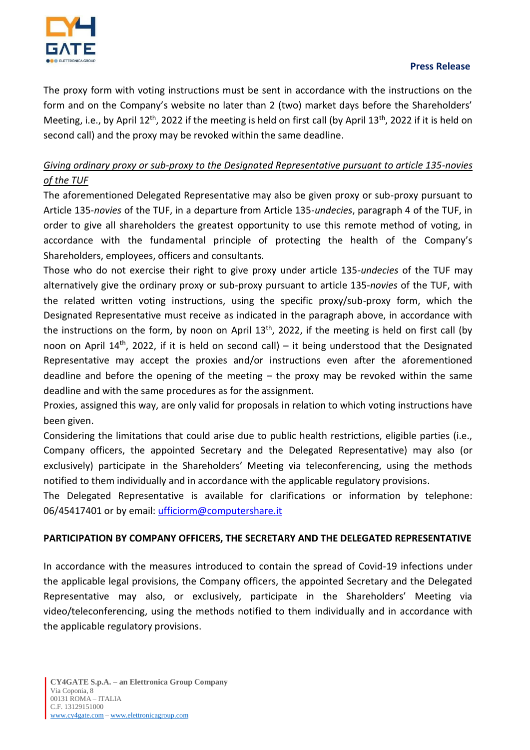

# **Press Release**

The proxy form with voting instructions must be sent in accordance with the instructions on the form and on the Company's website no later than 2 (two) market days before the Shareholders' Meeting, i.e., by April 12<sup>th</sup>, 2022 if the meeting is held on first call (by April 13<sup>th</sup>, 2022 if it is held on second call) and the proxy may be revoked within the same deadline.

# *Giving ordinary proxy or sub-proxy to the Designated Representative pursuant to article 135-novies of the TUF*

The aforementioned Delegated Representative may also be given proxy or sub-proxy pursuant to Article 135-*novies* of the TUF, in a departure from Article 135-*undecies*, paragraph 4 of the TUF, in order to give all shareholders the greatest opportunity to use this remote method of voting, in accordance with the fundamental principle of protecting the health of the Company's Shareholders, employees, officers and consultants.

Those who do not exercise their right to give proxy under article 135-*undecies* of the TUF may alternatively give the ordinary proxy or sub-proxy pursuant to article 135-*novies* of the TUF, with the related written voting instructions, using the specific proxy/sub-proxy form, which the Designated Representative must receive as indicated in the paragraph above, in accordance with the instructions on the form, by noon on April 13<sup>th</sup>, 2022, if the meeting is held on first call (by noon on April 14<sup>th</sup>, 2022, if it is held on second call) – it being understood that the Designated Representative may accept the proxies and/or instructions even after the aforementioned deadline and before the opening of the meeting  $-$  the proxy may be revoked within the same deadline and with the same procedures as for the assignment.

Proxies, assigned this way, are only valid for proposals in relation to which voting instructions have been given.

Considering the limitations that could arise due to public health restrictions, eligible parties (i.e., Company officers, the appointed Secretary and the Delegated Representative) may also (or exclusively) participate in the Shareholders' Meeting via teleconferencing, using the methods notified to them individually and in accordance with the applicable regulatory provisions.

The Delegated Representative is available for clarifications or information by telephone: 06/45417401 or by email: *ufficiorm@computershare.it* 

# **PARTICIPATION BY COMPANY OFFICERS, THE SECRETARY AND THE DELEGATED REPRESENTATIVE**

In accordance with the measures introduced to contain the spread of Covid-19 infections under the applicable legal provisions, the Company officers, the appointed Secretary and the Delegated Representative may also, or exclusively, participate in the Shareholders' Meeting via video/teleconferencing, using the methods notified to them individually and in accordance with the applicable regulatory provisions.